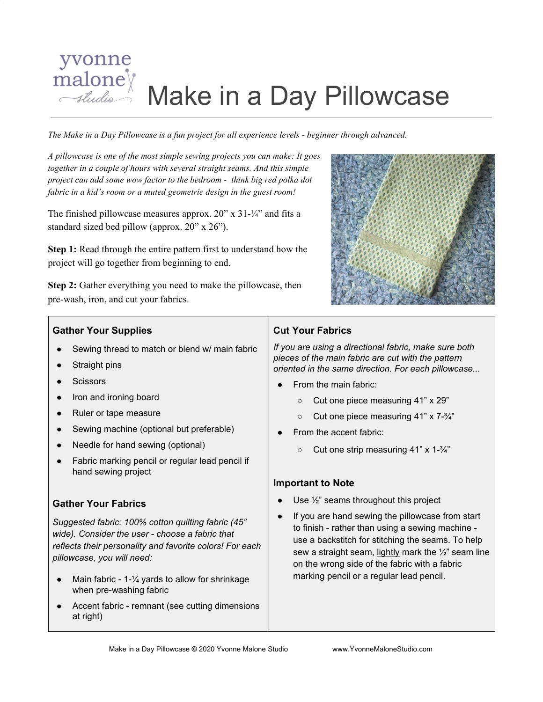

# Make in a Day Pillowcase

The Make in a Day Pillowcase is a fun project for all experience levels - beginner through advanced.

*A pillowcase is one of the most simple sewing projects you can make: It goes together in a couple of hours with several straight seams. And this simple project can add some wow factor to the bedroom - think big red polka dot fabric in a kid's room or a muted geometric design in the guest room!*

The finished pillowcase measures approx. 20" x 31- $\frac{1}{4}$ " and fits a standard sized bed pillow (approx. 20" x 26").

**Step 1:** Read through the entire pattern first to understand how the project will go together from beginning to end.

**Step 2:** Gather everything you need to make the pillowcase, then pre-wash, iron, and cut your fabrics.



#### **Gather Your Supplies**

- Sewing thread to match or blend w/ main fabric
- Straight pins
- Scissors
- Iron and ironing board
- Ruler or tape measure
- Sewing machine (optional but preferable)
- Needle for hand sewing (optional)
- Fabric marking pencil or regular lead pencil if hand sewing project

### **Gather Your Fabrics**

*Suggested fabric: 100% cotton quilting fabric (45" wide). Consider the user - choose a fabric that reflects their personality and favorite colors! For each pillowcase, you will need:*

- Main fabric 1- $\frac{1}{4}$  yards to allow for shrinkage when pre-washing fabric
- Accent fabric remnant (see cutting dimensions at right)

## **Cut Your Fabrics**

*If you are using a directional fabric, make sure both pieces of the main fabric are cut with the pattern oriented in the same direction. For each pillowcase...*

- From the main fabric:
	- Cut one piece measuring 41" x 29"
	- $\circ$  Cut one piece measuring 41" x 7- $\frac{3}{4}$ "
- From the accent fabric:
	- $\circ$  Cut one strip measuring 41" x 1- $\frac{3}{4}$ "

#### **Important to Note**

- $\bullet$  Use  $\frac{1}{2}$  seams throughout this project
- If you are hand sewing the pillowcase from start to finish - rather than using a sewing machine use a backstitch for stitching the seams. To help sew a straight seam, lightly mark the  $\frac{1}{2}$ " seam line on the wrong side of the fabric with a fabric marking pencil or a regular lead pencil.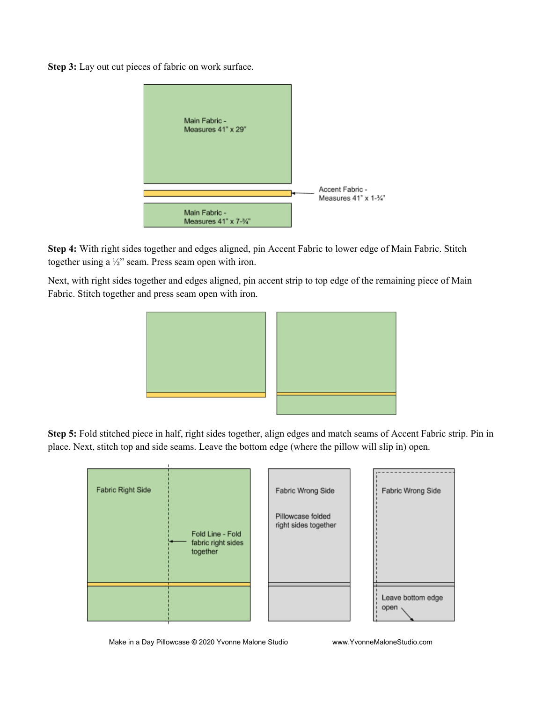**Step 3:** Lay out cut pieces of fabric on work surface.



**Step 4:** With right sides together and edges aligned, pin Accent Fabric to lower edge of Main Fabric. Stitch together using a ½" seam. Press seam open with iron.

Next, with right sides together and edges aligned, pin accent strip to top edge of the remaining piece of Main Fabric. Stitch together and press seam open with iron.



**Step 5:** Fold stitched piece in half, right sides together, align edges and match seams of Accent Fabric strip. Pin in place. Next, stitch top and side seams. Leave the bottom edge (where the pillow will slip in) open.



Make in a Day Pillowcase **©** 2020 Yvonne Malone Studio www.YvonneMaloneStudio.com